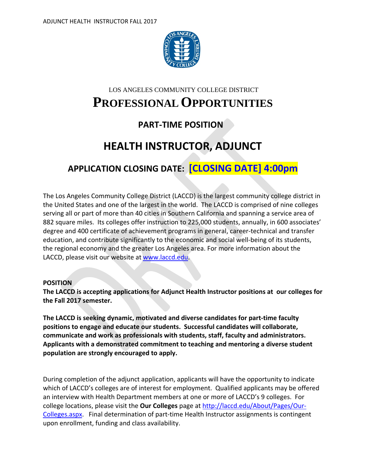

### LOS ANGELES COMMUNITY COLLEGE DISTRICT

# **PROFESSIONALOPPORTUNITIES**

## **PART-TIME POSITION**

# **HEALTH INSTRUCTOR, ADJUNCT**

# **APPLICATION CLOSING DATE: [CLOSING DATE] 4:00pm**

The Los Angeles Community College District (LACCD) is the largest community college district in the United States and one of the largest in the world. The LACCD is comprised of nine colleges serving all or part of more than 40 cities in Southern California and spanning a service area of 882 square miles. Its colleges offer instruction to 225,000 students, annually, in 600 associates' degree and 400 certificate of achievement programs in general, career-technical and transfer education, and contribute significantly to the economic and social well-being of its students, the regional economy and the greater Los Angeles area. For more information about the LACCD, please visit our website at [www.laccd.edu.](http://www.laccd.edu/)

#### **POSITION**

**The LACCD is accepting applications for Adjunct Health Instructor positions at our colleges for the Fall 2017 semester.** 

**The LACCD is seeking dynamic, motivated and diverse candidates for part-time faculty positions to engage and educate our students. Successful candidates will collaborate, communicate and work as professionals with students, staff, faculty and administrators. Applicants with a demonstrated commitment to teaching and mentoring a diverse student population are strongly encouraged to apply.**

During completion of the adjunct application, applicants will have the opportunity to indicate which of LACCD's colleges are of interest for employment. Qualified applicants may be offered an interview with Health Department members at one or more of LACCD's 9 colleges. For college locations, please visit the **Our Colleges** page at [http://laccd.edu/About/Pages/Our-](http://laccd.edu/About/Pages/Our-Colleges.aspx)[Colleges.aspx.](http://laccd.edu/About/Pages/Our-Colleges.aspx) Final determination of part-time Health Instructor assignments is contingent upon enrollment, funding and class availability.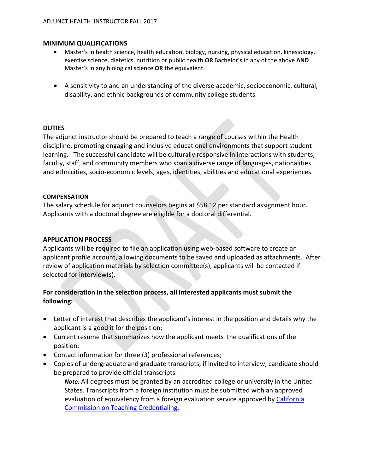#### **MINIMUM QUALIFICATIONS**

- Master's in health science, health education, biology, nursing, physical education, kinesiology, exercise science, dietetics, nutrition or public health **OR** Bachelor's in any of the above **AND**  Master's in any biological science **OR** the equivalent.
- A sensitivity to and an understanding of the diverse academic, socioeconomic, cultural, disability, and ethnic backgrounds of community college students.

#### **DUTIES**

The adjunct instructor should be prepared to teach a range of courses within the Health discipline, promoting engaging and inclusive educational environments that support student learning. The successful candidate will be culturally responsive in interactions with students, faculty, staff, and community members who span a diverse range of languages, nationalities and ethnicities, socio-economic levels, ages, identities, abilities and educational experiences.

#### **COMPENSATION**

The salary schedule for adjunct counselors begins at \$58.12 per standard assignment hour. Applicants with a doctoral degree are eligible for a doctoral differential.

#### **APPLICATION PROCESS**

Applicants will be required to file an application using web-based software to create an applicant profile account, allowing documents to be saved and uploaded as attachments. After review of application materials by selection committee(s), applicants will be contacted if selected for interview(s).

## **For consideration in the selection process, all interested applicants must submit the following:**

- Letter of interest that describes the applicant's interest in the position and details why the applicant is a good it for the position;
- Current resume that summarizes how the applicant meets the qualifications of the position;
- Contact information for three (3) professional references;
- Copies of undergraduate and graduate transcripts; if invited to interview, candidate should be prepared to provide official transcripts.

*Note:* All degrees must be granted by an accredited college or university in the United States. Transcripts from a foreign institution must be submitted with an approved evaluation of equivalency from a foreign evaluation service approved by California [Commission on Teaching Credentialing.](http://www.ctc.ca.gov/credentials/leaflets/cl635.pdf)